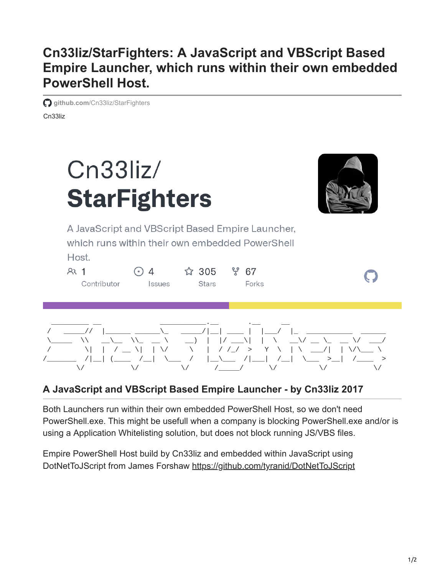## **Cn33liz/StarFighters: A JavaScript and VBScript Based Empire Launcher, which runs within their own embedded PowerShell Host.**

Cn33liz **github.com[/Cn33liz/StarFighters](https://github.com/Cn33liz/StarFighters)** 



## **A JavaScript and VBScript Based Empire Launcher - by Cn33liz 2017**

Both Launchers run within their own embedded PowerShell Host, so we don't need PowerShell.exe. This might be usefull when a company is blocking PowerShell.exe and/or is using a Application Whitelisting solution, but does not block running JS/VBS files.

/\_\_\_\_\_\_\_ /|\_\_| (\_\_\_\_ /\_\_| \\_\_\_ / |\_\_\\_\_\_ /|\_\_\_| /\_\_| \\_\_\_ >\_\_| /\_\_\_\_ >

\/ \/ \/ /\_\_\_\_\_/ \/ \/ \/

Empire PowerShell Host build by Cn33liz and embedded within JavaScript using DotNetToJScript from James Forshaw <https://github.com/tyranid/DotNetToJScript>